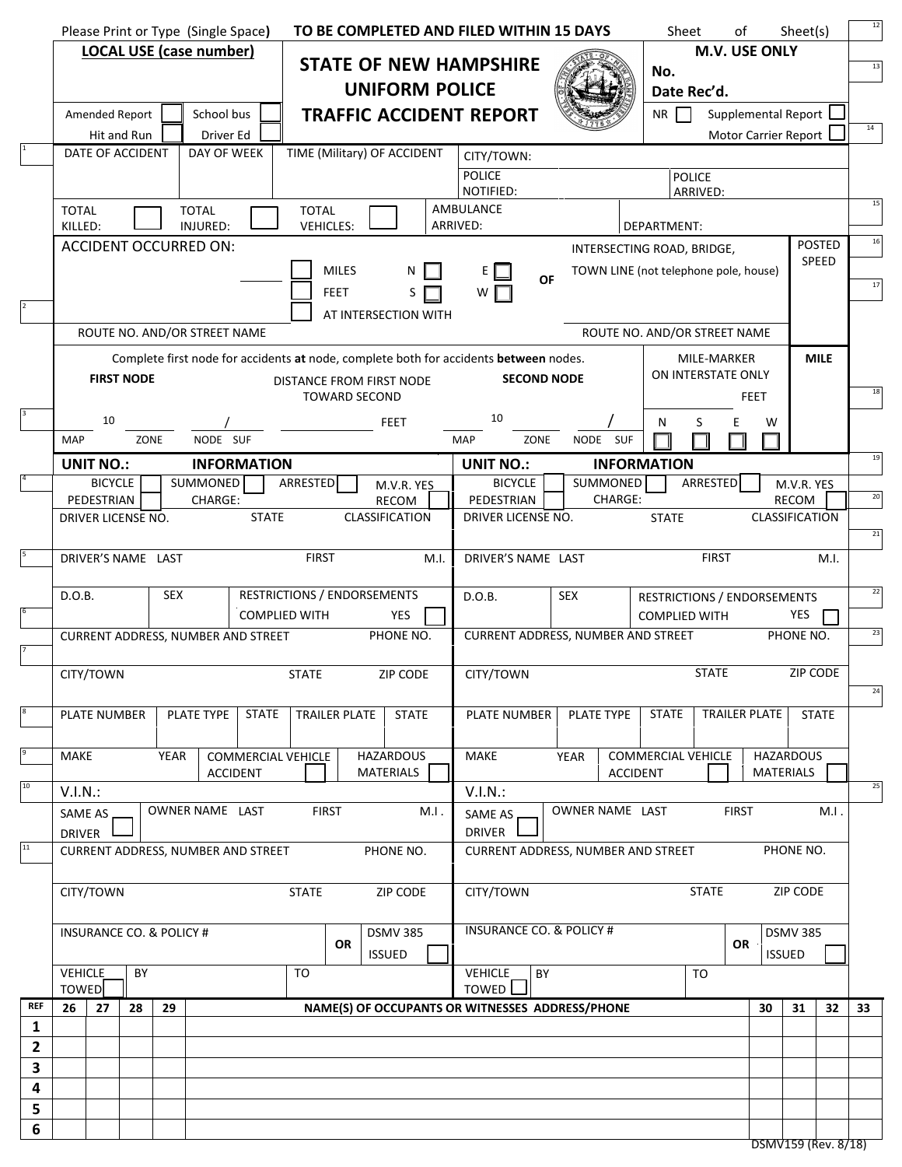|                |                                                                                                    |                                       |             | Please Print or Type (Single Space) |                           |                                                                     |                                                                                                                   |                                                             |      | TO BE COMPLETED AND FILED WITHIN 15 DAYS |      |                                                 | Sheet                       |                                   | of                   |       | Sheet(s)       | 12     |
|----------------|----------------------------------------------------------------------------------------------------|---------------------------------------|-------------|-------------------------------------|---------------------------|---------------------------------------------------------------------|-------------------------------------------------------------------------------------------------------------------|-------------------------------------------------------------|------|------------------------------------------|------|-------------------------------------------------|-----------------------------|-----------------------------------|----------------------|-------|----------------|--------|
|                | <b>LOCAL USE (case number)</b>                                                                     |                                       |             |                                     |                           |                                                                     |                                                                                                                   |                                                             |      |                                          |      |                                                 | M.V. USE ONLY               |                                   |                      |       |                |        |
|                |                                                                                                    | <b>STATE OF NEW HAMPSHIRE</b>         |             |                                     |                           |                                                                     |                                                                                                                   |                                                             |      |                                          | No.  |                                                 |                             |                                   |                      | 13    |                |        |
|                |                                                                                                    |                                       |             |                                     |                           |                                                                     |                                                                                                                   | <b>UNIFORM POLICE</b>                                       |      |                                          |      |                                                 | Date Rec'd.                 |                                   |                      |       |                |        |
|                | Amended Report                                                                                     |                                       |             | School bus                          |                           |                                                                     |                                                                                                                   |                                                             |      | <b>TRAFFIC ACCIDENT REPORT</b>           |      |                                                 | NR                          |                                   | Supplemental Report  |       |                | 14     |
|                | DATE OF ACCIDENT                                                                                   | Hit and Run                           |             | Driver Ed<br>DAY OF WEEK            |                           |                                                                     |                                                                                                                   | TIME (Military) OF ACCIDENT                                 |      |                                          |      |                                                 |                             |                                   | Motor Carrier Report |       |                |        |
|                |                                                                                                    |                                       |             |                                     |                           |                                                                     |                                                                                                                   |                                                             |      | CITY/TOWN:<br><b>POLICE</b>              |      |                                                 |                             |                                   |                      |       |                |        |
|                |                                                                                                    |                                       |             |                                     |                           |                                                                     |                                                                                                                   |                                                             |      | NOTIFIED:                                |      |                                                 |                             | <b>POLICE</b><br>ARRIVED:         |                      |       |                |        |
|                | <b>TOTAL</b>                                                                                       |                                       |             | <b>TOTAL</b>                        |                           | <b>TOTAL</b>                                                        |                                                                                                                   |                                                             |      | AMBULANCE                                |      |                                                 |                             |                                   |                      |       |                | 15     |
|                | KILLED:                                                                                            |                                       |             | INJURED:                            |                           |                                                                     | <b>VEHICLES:</b>                                                                                                  |                                                             |      | ARRIVED:<br>DEPARTMENT:<br><b>POSTED</b> |      |                                                 |                             |                                   | 16                   |       |                |        |
|                | <b>ACCIDENT OCCURRED ON:</b>                                                                       |                                       |             |                                     |                           |                                                                     |                                                                                                                   |                                                             |      |                                          |      |                                                 | INTERSECTING ROAD, BRIDGE,  |                                   |                      |       |                |        |
|                | <b>MILES</b>                                                                                       |                                       |             |                                     |                           |                                                                     |                                                                                                                   | SPEED<br>TOWN LINE (not telephone pole, house)<br><b>OF</b> |      |                                          |      |                                                 |                             | 17                                |                      |       |                |        |
| $\overline{a}$ |                                                                                                    |                                       |             |                                     |                           |                                                                     | <b>FEET</b>                                                                                                       | S                                                           |      | w                                        |      |                                                 |                             |                                   |                      |       |                |        |
|                |                                                                                                    |                                       |             | ROUTE NO. AND/OR STREET NAME        |                           |                                                                     |                                                                                                                   | AT INTERSECTION WITH                                        |      | ROUTE NO. AND/OR STREET NAME             |      |                                                 |                             |                                   |                      |       |                |        |
|                |                                                                                                    |                                       |             |                                     |                           |                                                                     |                                                                                                                   |                                                             |      |                                          |      |                                                 |                             |                                   |                      |       |                |        |
|                |                                                                                                    | <b>FIRST NODE</b>                     |             |                                     |                           |                                                                     | Complete first node for accidents at node, complete both for accidents between nodes.<br>DISTANCE FROM FIRST NODE |                                                             |      | <b>SECOND NODE</b>                       |      |                                                 |                             | MILE-MARKER<br>ON INTERSTATE ONLY |                      |       | <b>MILE</b>    |        |
|                |                                                                                                    |                                       |             |                                     |                           |                                                                     | <b>TOWARD SECOND</b>                                                                                              |                                                             |      |                                          |      |                                                 |                             |                                   | <b>FEET</b>          |       |                | 18     |
| 3              | 10                                                                                                 |                                       |             |                                     |                           |                                                                     |                                                                                                                   | FEET                                                        |      | 10                                       |      |                                                 | N                           | S                                 | Е<br>W               |       |                |        |
|                | MAP                                                                                                |                                       | ZONE        | NODE SUF                            |                           |                                                                     |                                                                                                                   |                                                             |      | MAP                                      | ZONE | NODE SUF                                        |                             |                                   |                      |       |                |        |
|                | <b>UNIT NO.:</b>                                                                                   |                                       |             |                                     | <b>INFORMATION</b>        |                                                                     |                                                                                                                   |                                                             |      | <b>UNIT NO.:</b>                         |      |                                                 | <b>INFORMATION</b>          |                                   |                      |       |                | 19     |
|                |                                                                                                    | <b>BICYCLE</b>                        |             | <b>SUMMONED</b>                     |                           | ARRESTED                                                            |                                                                                                                   | M.V.R. YES                                                  |      | <b>BICYCLE</b>                           |      | SUMMONED                                        |                             | ARRESTED                          |                      |       | M.V.R. YES     |        |
|                | PEDESTRIAN                                                                                         |                                       |             | CHARGE:                             |                           |                                                                     |                                                                                                                   | RECOM                                                       |      | PEDESTRIAN                               |      | <b>CHARGE:</b>                                  |                             |                                   |                      | RECOM |                | $20\,$ |
|                | DRIVER LICENSE NO.                                                                                 |                                       |             |                                     | <b>STATE</b>              |                                                                     |                                                                                                                   | CLASSIFICATION                                              |      | DRIVER LICENSE NO.                       |      |                                                 | <b>STATE</b>                |                                   |                      |       | CLASSIFICATION | 21     |
| 5              | DRIVER'S NAME LAST                                                                                 |                                       |             |                                     |                           | <b>FIRST</b>                                                        |                                                                                                                   |                                                             | M.I. | DRIVER'S NAME LAST                       |      |                                                 |                             | <b>FIRST</b>                      |                      |       | M.I.           |        |
|                |                                                                                                    |                                       |             |                                     |                           |                                                                     |                                                                                                                   |                                                             |      |                                          |      |                                                 |                             |                                   |                      |       |                |        |
|                | D.O.B.                                                                                             |                                       | <b>SEX</b>  |                                     |                           |                                                                     |                                                                                                                   | RESTRICTIONS / ENDORSEMENTS                                 |      | D.O.B.                                   |      | <b>SEX</b>                                      | RESTRICTIONS / ENDORSEMENTS |                                   |                      |       |                | 22     |
| 6              |                                                                                                    |                                       |             |                                     | <b>COMPLIED WITH</b>      |                                                                     |                                                                                                                   | YES                                                         |      |                                          |      |                                                 | <b>COMPLIED WITH</b>        |                                   |                      |       | YES            |        |
| $\overline{7}$ | CURRENT ADDRESS, NUMBER AND STREET<br>PHONE NO.<br>CURRENT ADDRESS, NUMBER AND STREET<br>PHONE NO. |                                       |             |                                     |                           |                                                                     |                                                                                                                   |                                                             |      | 23                                       |      |                                                 |                             |                                   |                      |       |                |        |
|                |                                                                                                    |                                       |             |                                     |                           | <b>STATE</b>                                                        |                                                                                                                   |                                                             |      |                                          |      |                                                 |                             | <b>STATE</b>                      |                      |       | ZIP CODE       |        |
|                | CITY/TOWN                                                                                          |                                       |             |                                     |                           |                                                                     |                                                                                                                   | ZIP CODE                                                    |      | CITY/TOWN                                |      |                                                 |                             |                                   |                      |       |                | 24     |
| 8              | PLATE NUMBER                                                                                       |                                       |             | PLATE TYPE                          | <b>STATE</b>              |                                                                     | TRAILER PLATE                                                                                                     | <b>STATE</b>                                                |      | <b>PLATE NUMBER</b>                      |      | PLATE TYPE                                      | <b>STATE</b>                |                                   | <b>TRAILER PLATE</b> |       | <b>STATE</b>   |        |
|                |                                                                                                    |                                       |             |                                     |                           |                                                                     |                                                                                                                   |                                                             |      |                                          |      |                                                 |                             |                                   |                      |       |                |        |
| $\overline{9}$ | MAKE                                                                                               |                                       | <b>YEAR</b> |                                     | <b>COMMERCIAL VEHICLE</b> |                                                                     |                                                                                                                   | <b>HAZARDOUS</b>                                            |      | <b>MAKE</b>                              |      | <b>YEAR</b>                                     | <b>COMMERCIAL VEHICLE</b>   |                                   | <b>HAZARDOUS</b>     |       |                |        |
|                | MATERIALS<br><b>ACCIDENT</b>                                                                       |                                       |             |                                     |                           | MATERIALS<br><b>ACCIDENT</b>                                        |                                                                                                                   |                                                             |      |                                          |      |                                                 |                             |                                   |                      |       |                |        |
| 10             | V.I.N.:                                                                                            |                                       |             |                                     |                           |                                                                     |                                                                                                                   |                                                             |      | V.I.N.:                                  |      |                                                 |                             |                                   |                      |       |                | 25     |
|                | OWNER NAME LAST<br><b>FIRST</b><br>M.I.<br><b>SAME AS</b>                                          |                                       |             |                                     |                           | OWNER NAME LAST<br><b>FIRST</b><br>M.I.<br>SAME AS<br><b>DRIVER</b> |                                                                                                                   |                                                             |      |                                          |      |                                                 |                             |                                   |                      |       |                |        |
| 11             | <b>DRIVER</b><br><b>CURRENT ADDRESS, NUMBER AND STREET</b><br>PHONE NO.                            |                                       |             |                                     |                           |                                                                     | PHONE NO.<br>CURRENT ADDRESS, NUMBER AND STREET                                                                   |                                                             |      |                                          |      |                                                 |                             |                                   |                      |       |                |        |
|                |                                                                                                    |                                       |             |                                     |                           |                                                                     |                                                                                                                   |                                                             |      |                                          |      |                                                 |                             |                                   |                      |       |                |        |
|                |                                                                                                    | CITY/TOWN<br><b>STATE</b><br>ZIP CODE |             |                                     |                           |                                                                     | CITY/TOWN<br><b>STATE</b><br>ZIP CODE                                                                             |                                                             |      |                                          |      |                                                 |                             |                                   |                      |       |                |        |
|                |                                                                                                    |                                       |             |                                     |                           |                                                                     |                                                                                                                   |                                                             |      |                                          |      |                                                 |                             |                                   |                      |       |                |        |
|                | INSURANCE CO. & POLICY #<br><b>DSMV 385</b><br><b>OR</b>                                           |                                       |             |                                     |                           | <b>INSURANCE CO. &amp; POLICY #</b><br><b>DSMV 385</b><br>OR        |                                                                                                                   |                                                             |      |                                          |      |                                                 |                             |                                   |                      |       |                |        |
|                |                                                                                                    | <b>ISSUED</b>                         |             |                                     |                           |                                                                     |                                                                                                                   |                                                             |      |                                          |      | <b>ISSUED</b>                                   |                             |                                   |                      |       |                |        |
|                | <b>VEHICLE</b><br><b>TOWED</b>                                                                     | BY                                    |             |                                     |                           | T <sub>O</sub>                                                      |                                                                                                                   |                                                             |      | <b>VEHICLE</b><br>TOWED                  | BY   |                                                 |                             | <b>TO</b>                         |                      |       |                |        |
| <b>REF</b>     | 26<br>27                                                                                           | 28                                    | 29          |                                     |                           |                                                                     |                                                                                                                   |                                                             |      |                                          |      | NAME(S) OF OCCUPANTS OR WITNESSES ADDRESS/PHONE |                             |                                   | 30                   | 31    | 32             | 33     |
| $\mathbf{1}$   |                                                                                                    |                                       |             |                                     |                           |                                                                     |                                                                                                                   |                                                             |      |                                          |      |                                                 |                             |                                   |                      |       |                |        |
| 2              |                                                                                                    |                                       |             |                                     |                           |                                                                     |                                                                                                                   |                                                             |      |                                          |      |                                                 |                             |                                   |                      |       |                |        |
| 3              |                                                                                                    |                                       |             |                                     |                           |                                                                     |                                                                                                                   |                                                             |      |                                          |      |                                                 |                             |                                   |                      |       |                |        |
| 4              |                                                                                                    |                                       |             |                                     |                           |                                                                     |                                                                                                                   |                                                             |      |                                          |      |                                                 |                             |                                   |                      |       |                |        |
| 5              |                                                                                                    |                                       |             |                                     |                           |                                                                     |                                                                                                                   |                                                             |      |                                          |      |                                                 |                             |                                   |                      |       |                |        |
| 6              |                                                                                                    |                                       |             |                                     |                           |                                                                     |                                                                                                                   |                                                             |      |                                          |      |                                                 |                             |                                   |                      |       |                |        |